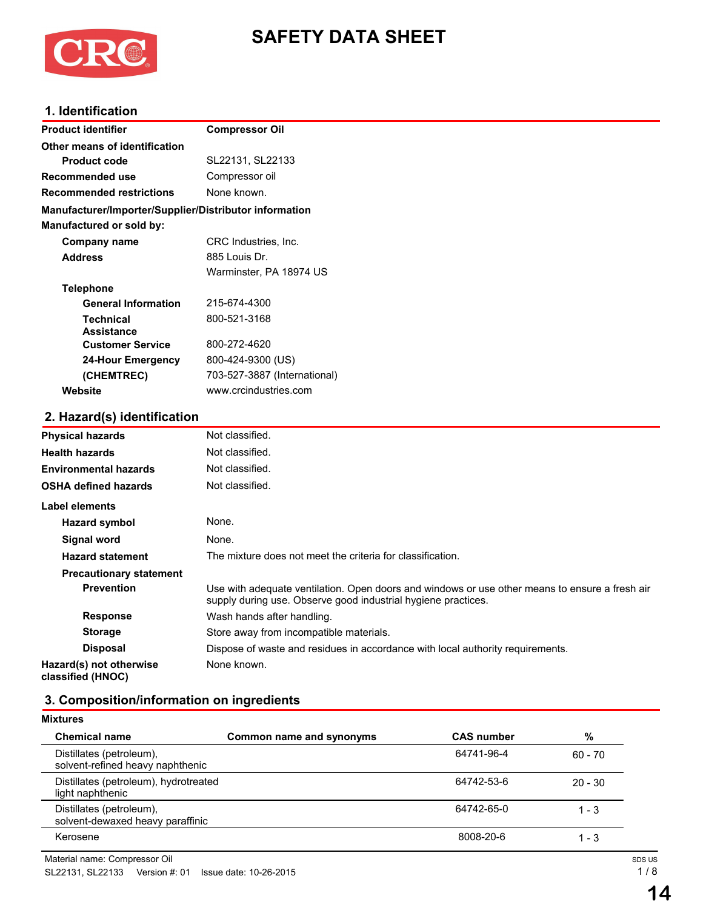

# **SAFETY DATA SHEET**

# **1. Identification**

| <b>Product identifier</b>                              | <b>Compressor Oil</b>        |  |  |  |
|--------------------------------------------------------|------------------------------|--|--|--|
| Other means of identification                          |                              |  |  |  |
| <b>Product code</b>                                    | SL22131, SL22133             |  |  |  |
| Recommended use                                        | Compressor oil               |  |  |  |
| <b>Recommended restrictions</b>                        | None known.                  |  |  |  |
| Manufacturer/Importer/Supplier/Distributor information |                              |  |  |  |
| Manufactured or sold by:                               |                              |  |  |  |
| <b>Company name</b>                                    | CRC Industries, Inc.         |  |  |  |
| <b>Address</b>                                         | 885 Louis Dr.                |  |  |  |
|                                                        | Warminster, PA 18974 US      |  |  |  |
| <b>Telephone</b>                                       |                              |  |  |  |
| <b>General Information</b>                             | 215-674-4300                 |  |  |  |
| <b>Technical</b>                                       | 800-521-3168                 |  |  |  |
| <b>Assistance</b>                                      |                              |  |  |  |
| <b>Customer Service</b>                                | 800-272-4620                 |  |  |  |
| <b>24-Hour Emergency</b>                               | 800-424-9300 (US)            |  |  |  |
| (CHEMTREC)                                             | 703-527-3887 (International) |  |  |  |
| Website                                                | www.crcindustries.com        |  |  |  |
| 2. Hazard(s) identification                            |                              |  |  |  |
| <b>Physical hazards</b>                                | Not classified.              |  |  |  |
| <b>Health hazards</b>                                  | Not classified.              |  |  |  |
| <b>Environmental hazards</b>                           | Not classified.              |  |  |  |
| <b>OSHA defined hazards</b>                            | Not classified.              |  |  |  |
| <b>Label elements</b>                                  |                              |  |  |  |
| <b>Hazard symbol</b>                                   | None.                        |  |  |  |
|                                                        |                              |  |  |  |

# **3. Composition/information on ingredients**

**Response** Wash hands after handling.

**Storage** Store away from incompatible materials.

None known.

**Signal word** None.

**Precautionary statement**

**Hazard(s) not otherwise classified (HNOC)**

**Hazard statement** The mixture does not meet the criteria for classification.

| <b>Mixtures</b>                                              |                          |                   |           |
|--------------------------------------------------------------|--------------------------|-------------------|-----------|
| <b>Chemical name</b>                                         | Common name and synonyms | <b>CAS number</b> | %         |
| Distillates (petroleum),<br>solvent-refined heavy naphthenic |                          | 64741-96-4        | $60 - 70$ |
| Distillates (petroleum), hydrotreated<br>light naphthenic    |                          | 64742-53-6        | $20 - 30$ |
| Distillates (petroleum),<br>solvent-dewaxed heavy paraffinic |                          | 64742-65-0        | 1 - 3     |
| Kerosene                                                     |                          | 8008-20-6         | 1 - 3     |

**Disposal** Dispose of waste and residues in accordance with local authority requirements.

**Prevention** Use with adequate ventilation. Open doors and windows or use other means to ensure a fresh air supply during use. Observe good industrial hygiene practices.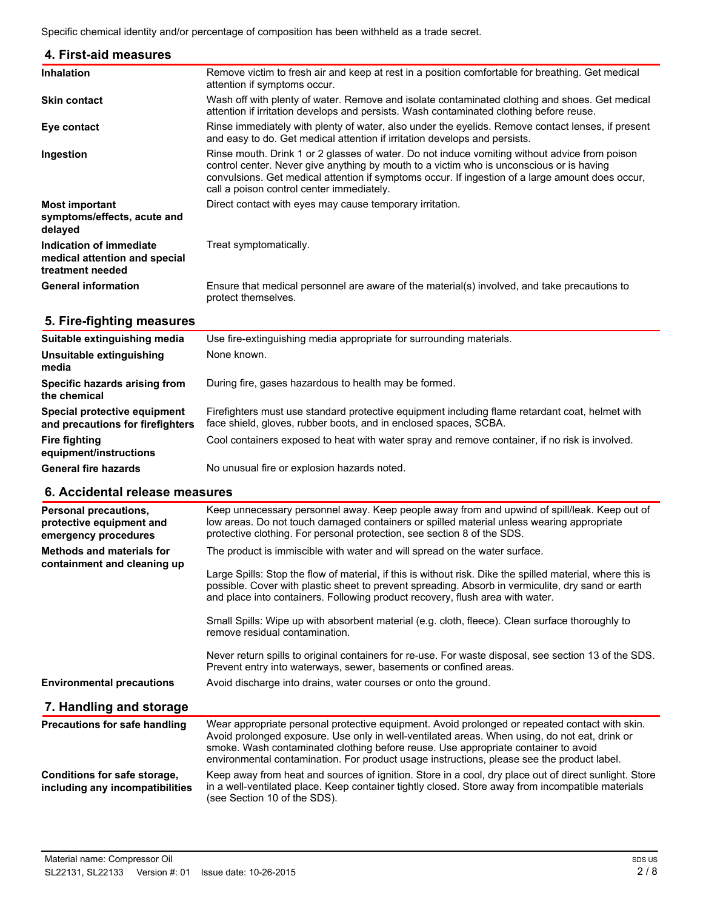Specific chemical identity and/or percentage of composition has been withheld as a trade secret.

| <b>Inhalation</b>                                                            | Remove victim to fresh air and keep at rest in a position comfortable for breathing. Get medical<br>attention if symptoms occur.                                                                                                                                                                                                           |
|------------------------------------------------------------------------------|--------------------------------------------------------------------------------------------------------------------------------------------------------------------------------------------------------------------------------------------------------------------------------------------------------------------------------------------|
| <b>Skin contact</b>                                                          | Wash off with plenty of water. Remove and isolate contaminated clothing and shoes. Get medical<br>attention if irritation develops and persists. Wash contaminated clothing before reuse.                                                                                                                                                  |
| Eye contact                                                                  | Rinse immediately with plenty of water, also under the eyelids. Remove contact lenses, if present<br>and easy to do. Get medical attention if irritation develops and persists.                                                                                                                                                            |
| Ingestion                                                                    | Rinse mouth. Drink 1 or 2 glasses of water. Do not induce vomiting without advice from poison<br>control center. Never give anything by mouth to a victim who is unconscious or is having<br>convulsions. Get medical attention if symptoms occur. If ingestion of a large amount does occur,<br>call a poison control center immediately. |
| <b>Most important</b><br>symptoms/effects, acute and<br>delayed              | Direct contact with eyes may cause temporary irritation.                                                                                                                                                                                                                                                                                   |
| Indication of immediate<br>medical attention and special<br>treatment needed | Treat symptomatically.                                                                                                                                                                                                                                                                                                                     |
| <b>General information</b>                                                   | Ensure that medical personnel are aware of the material(s) involved, and take precautions to<br>protect themselves.                                                                                                                                                                                                                        |

# **5. Fire-fighting measures**

| Suitable extinguishing media                                     | Use fire-extinguishing media appropriate for surrounding materials.                                                                                                 |  |  |
|------------------------------------------------------------------|---------------------------------------------------------------------------------------------------------------------------------------------------------------------|--|--|
| Unsuitable extinguishing<br>media                                | None known.                                                                                                                                                         |  |  |
| Specific hazards arising from<br>the chemical                    | During fire, gases hazardous to health may be formed.                                                                                                               |  |  |
| Special protective equipment<br>and precautions for firefighters | Firefighters must use standard protective equipment including flame retardant coat, helmet with<br>face shield, gloves, rubber boots, and in enclosed spaces, SCBA. |  |  |
| Fire fighting<br>equipment/instructions                          | Cool containers exposed to heat with water spray and remove container, if no risk is involved.                                                                      |  |  |
| <b>General fire hazards</b>                                      | No unusual fire or explosion hazards noted.                                                                                                                         |  |  |

# **6. Accidental release measures**

| <b>Personal precautions,</b><br>protective equipment and<br>emergency procedures | Keep unnecessary personnel away. Keep people away from and upwind of spill/leak. Keep out of<br>low areas. Do not touch damaged containers or spilled material unless wearing appropriate<br>protective clothing. For personal protection, see section 8 of the SDS.                                                                                                                |  |  |
|----------------------------------------------------------------------------------|-------------------------------------------------------------------------------------------------------------------------------------------------------------------------------------------------------------------------------------------------------------------------------------------------------------------------------------------------------------------------------------|--|--|
| Methods and materials for                                                        | The product is immiscible with water and will spread on the water surface.                                                                                                                                                                                                                                                                                                          |  |  |
| containment and cleaning up                                                      | Large Spills: Stop the flow of material, if this is without risk. Dike the spilled material, where this is<br>possible. Cover with plastic sheet to prevent spreading. Absorb in vermiculite, dry sand or earth<br>and place into containers. Following product recovery, flush area with water.                                                                                    |  |  |
|                                                                                  | Small Spills: Wipe up with absorbent material (e.g. cloth, fleece). Clean surface thoroughly to<br>remove residual contamination.                                                                                                                                                                                                                                                   |  |  |
|                                                                                  | Never return spills to original containers for re-use. For waste disposal, see section 13 of the SDS.<br>Prevent entry into waterways, sewer, basements or confined areas.                                                                                                                                                                                                          |  |  |
| <b>Environmental precautions</b>                                                 | Avoid discharge into drains, water courses or onto the ground.                                                                                                                                                                                                                                                                                                                      |  |  |
| 7. Handling and storage                                                          |                                                                                                                                                                                                                                                                                                                                                                                     |  |  |
| Precautions for safe handling                                                    | Wear appropriate personal protective equipment. Avoid prolonged or repeated contact with skin.<br>Avoid prolonged exposure. Use only in well-ventilated areas. When using, do not eat, drink or<br>smoke. Wash contaminated clothing before reuse. Use appropriate container to avoid<br>environmental contamination. For product usage instructions, please see the product label. |  |  |
| Conditions for safe storage,<br>including any incompatibilities                  | Keep away from heat and sources of ignition. Store in a cool, dry place out of direct sunlight. Store<br>in a well-ventilated place. Keep container tightly closed. Store away from incompatible materials<br>(see Section 10 of the SDS).                                                                                                                                          |  |  |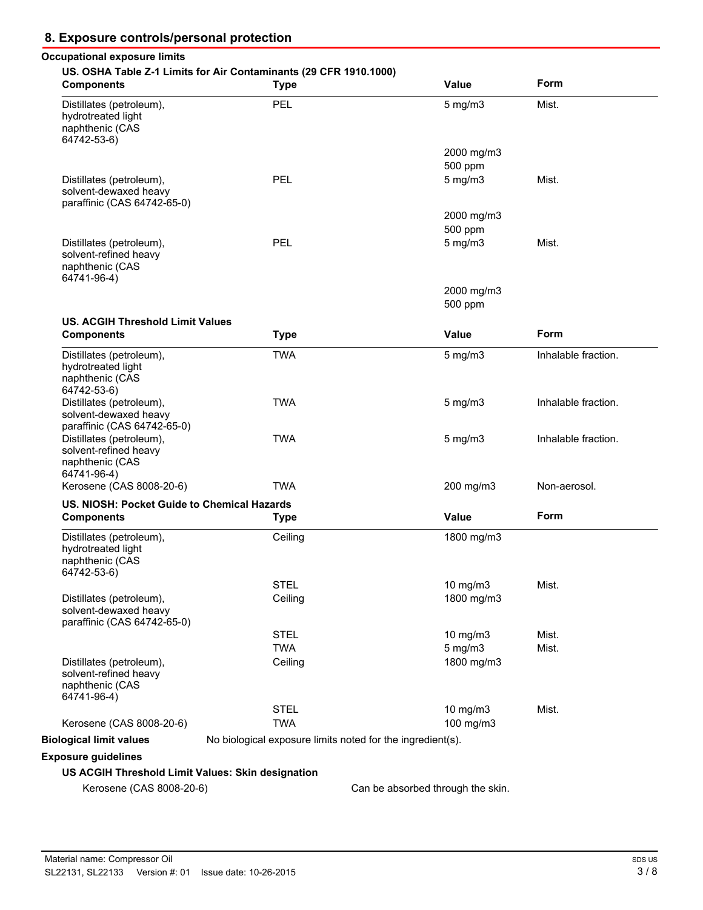# **8. Exposure controls/personal protection**

# **Occupational exposure limits US. OSHA Table Z-1 Limits for Air Contaminants (29 CFR 1910.1000)**

| <b>Components</b>                                                                   | <b>Type</b>                                                | <b>Value</b>                      | Form                |
|-------------------------------------------------------------------------------------|------------------------------------------------------------|-----------------------------------|---------------------|
| Distillates (petroleum),<br>hydrotreated light<br>naphthenic (CAS<br>64742-53-6)    | PEL                                                        | $5$ mg/m $3$                      | Mist.               |
|                                                                                     |                                                            | 2000 mg/m3                        |                     |
|                                                                                     |                                                            | 500 ppm                           |                     |
| Distillates (petroleum),<br>solvent-dewaxed heavy<br>paraffinic (CAS 64742-65-0)    | PEL                                                        | $5$ mg/m $3$                      | Mist.               |
|                                                                                     |                                                            | 2000 mg/m3                        |                     |
|                                                                                     |                                                            | 500 ppm                           |                     |
| Distillates (petroleum),<br>solvent-refined heavy<br>naphthenic (CAS<br>64741-96-4) | PEL                                                        | $5$ mg/m $3$                      | Mist.               |
|                                                                                     |                                                            | 2000 mg/m3                        |                     |
|                                                                                     |                                                            | 500 ppm                           |                     |
| <b>US. ACGIH Threshold Limit Values</b>                                             |                                                            |                                   |                     |
| <b>Components</b>                                                                   | <b>Type</b>                                                | <b>Value</b>                      | Form                |
| Distillates (petroleum),<br>hydrotreated light<br>naphthenic (CAS<br>64742-53-6)    | <b>TWA</b>                                                 | $5$ mg/m $3$                      | Inhalable fraction. |
| Distillates (petroleum),<br>solvent-dewaxed heavy<br>paraffinic (CAS 64742-65-0)    | <b>TWA</b>                                                 | $5$ mg/m $3$                      | Inhalable fraction. |
| Distillates (petroleum),<br>solvent-refined heavy<br>naphthenic (CAS<br>64741-96-4) | <b>TWA</b>                                                 | $5$ mg/m $3$                      | Inhalable fraction. |
| Kerosene (CAS 8008-20-6)                                                            | <b>TWA</b>                                                 | 200 mg/m3                         | Non-aerosol.        |
| US. NIOSH: Pocket Guide to Chemical Hazards                                         |                                                            |                                   |                     |
| <b>Components</b>                                                                   | <b>Type</b>                                                | <b>Value</b>                      | Form                |
| Distillates (petroleum),<br>hydrotreated light<br>naphthenic (CAS<br>64742-53-6)    | Ceiling                                                    | 1800 mg/m3                        |                     |
|                                                                                     | <b>STEL</b>                                                | 10 mg/m3                          | Mist.               |
| Distillates (petroleum),<br>solvent-dewaxed heavy<br>paraffinic (CAS 64742-65-0)    | Ceiling                                                    | 1800 mg/m3                        |                     |
|                                                                                     | <b>STEL</b>                                                | 10 mg/m3                          | Mist.               |
|                                                                                     | <b>TWA</b>                                                 | $5$ mg/m $3$                      | Mist.               |
| Distillates (petroleum),<br>solvent-refined heavy<br>naphthenic (CAS<br>64741-96-4) | Ceiling                                                    | 1800 mg/m3                        |                     |
|                                                                                     | <b>STEL</b>                                                | 10 mg/m3                          | Mist.               |
| Kerosene (CAS 8008-20-6)                                                            | <b>TWA</b>                                                 | 100 mg/m3                         |                     |
| <b>Biological limit values</b>                                                      | No biological exposure limits noted for the ingredient(s). |                                   |                     |
| <b>Exposure guidelines</b>                                                          |                                                            |                                   |                     |
| US ACGIH Threshold Limit Values: Skin designation                                   |                                                            |                                   |                     |
| Kerosene (CAS 8008-20-6)                                                            |                                                            | Can be absorbed through the skin. |                     |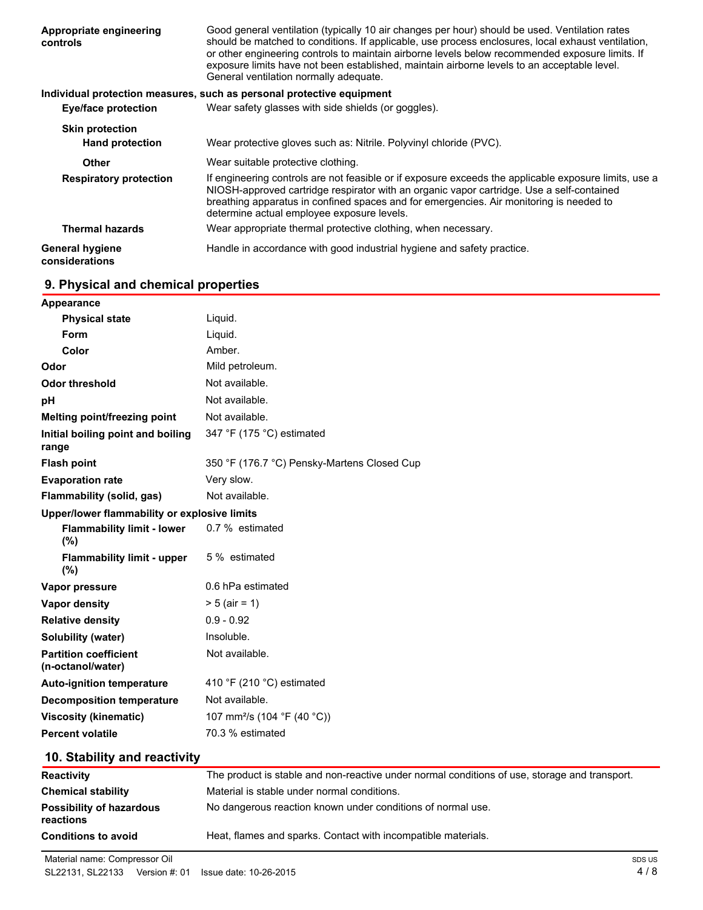| Appropriate engineering<br>controls              | Good general ventilation (typically 10 air changes per hour) should be used. Ventilation rates<br>should be matched to conditions. If applicable, use process enclosures, local exhaust ventilation,<br>or other engineering controls to maintain airborne levels below recommended exposure limits. If<br>exposure limits have not been established, maintain airborne levels to an acceptable level.<br>General ventilation normally adequate. |  |  |
|--------------------------------------------------|--------------------------------------------------------------------------------------------------------------------------------------------------------------------------------------------------------------------------------------------------------------------------------------------------------------------------------------------------------------------------------------------------------------------------------------------------|--|--|
|                                                  | Individual protection measures, such as personal protective equipment                                                                                                                                                                                                                                                                                                                                                                            |  |  |
| <b>Eye/face protection</b>                       | Wear safety glasses with side shields (or goggles).                                                                                                                                                                                                                                                                                                                                                                                              |  |  |
| <b>Skin protection</b><br><b>Hand protection</b> | Wear protective gloves such as: Nitrile. Polyvinyl chloride (PVC).                                                                                                                                                                                                                                                                                                                                                                               |  |  |
| <b>Other</b>                                     | Wear suitable protective clothing.                                                                                                                                                                                                                                                                                                                                                                                                               |  |  |
| <b>Respiratory protection</b>                    | If engineering controls are not feasible or if exposure exceeds the applicable exposure limits, use a<br>NIOSH-approved cartridge respirator with an organic vapor cartridge. Use a self-contained<br>breathing apparatus in confined spaces and for emergencies. Air monitoring is needed to<br>determine actual employee exposure levels.                                                                                                      |  |  |
| <b>Thermal hazards</b>                           | Wear appropriate thermal protective clothing, when necessary.                                                                                                                                                                                                                                                                                                                                                                                    |  |  |
| <b>General hygiene</b><br>considerations         | Handle in accordance with good industrial hygiene and safety practice.                                                                                                                                                                                                                                                                                                                                                                           |  |  |

# **9. Physical and chemical properties**

| Appearance                                        |                                             |  |  |  |
|---------------------------------------------------|---------------------------------------------|--|--|--|
| <b>Physical state</b>                             | Liquid.                                     |  |  |  |
| Form                                              | Liquid.                                     |  |  |  |
| Color                                             | Amber.                                      |  |  |  |
| Odor                                              | Mild petroleum.                             |  |  |  |
| <b>Odor threshold</b>                             | Not available.                              |  |  |  |
| pH                                                | Not available.                              |  |  |  |
| Melting point/freezing point                      | Not available.                              |  |  |  |
| Initial boiling point and boiling<br>range        | 347 °F (175 °C) estimated                   |  |  |  |
| <b>Flash point</b>                                | 350 °F (176.7 °C) Pensky-Martens Closed Cup |  |  |  |
| <b>Evaporation rate</b>                           | Very slow.                                  |  |  |  |
| Flammability (solid, gas)                         | Not available.                              |  |  |  |
| Upper/lower flammability or explosive limits      |                                             |  |  |  |
| <b>Flammability limit - lower</b><br>(%)          | 0.7 % estimated                             |  |  |  |
| <b>Flammability limit - upper</b><br>(%)          | 5 % estimated                               |  |  |  |
| Vapor pressure                                    | 0.6 hPa estimated                           |  |  |  |
| Vapor density                                     | $> 5$ (air = 1)                             |  |  |  |
| <b>Relative density</b>                           | $0.9 - 0.92$                                |  |  |  |
| Solubility (water)                                | Insoluble.                                  |  |  |  |
| <b>Partition coefficient</b><br>(n-octanol/water) | Not available.                              |  |  |  |
| <b>Auto-ignition temperature</b>                  | 410 °F (210 °C) estimated                   |  |  |  |
| <b>Decomposition temperature</b>                  | Not available.                              |  |  |  |
| <b>Viscosity (kinematic)</b>                      | 107 mm <sup>2</sup> /s (104 °F (40 °C))     |  |  |  |
| <b>Percent volatile</b>                           | 70.3 % estimated                            |  |  |  |

# **10. Stability and reactivity**

| <b>Reactivity</b>                            | The product is stable and non-reactive under normal conditions of use, storage and transport. |
|----------------------------------------------|-----------------------------------------------------------------------------------------------|
| <b>Chemical stability</b>                    | Material is stable under normal conditions.                                                   |
| <b>Possibility of hazardous</b><br>reactions | No dangerous reaction known under conditions of normal use.                                   |
| <b>Conditions to avoid</b>                   | Heat, flames and sparks. Contact with incompatible materials.                                 |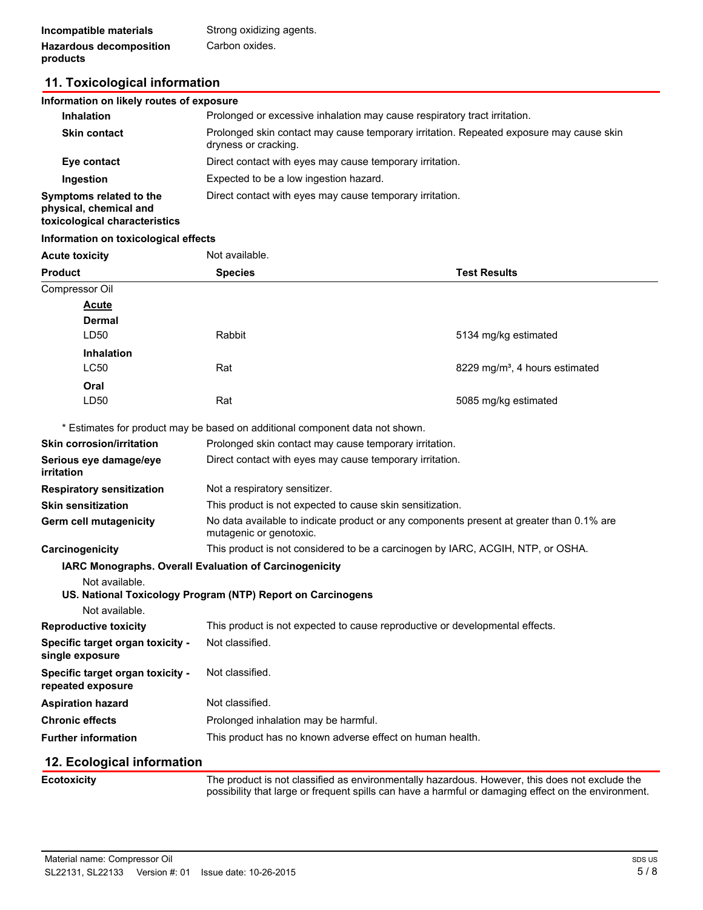# **11. Toxicological information**

### **Information on likely routes of exposure Inhalation Prolonged or excessive inhalation may cause respiratory tract irritation. Skin contact** Prolonged skin contact may cause temporary irritation. Repeated exposure may cause skin dryness or cracking. **Eye contact** Direct contact with eyes may cause temporary irritation. **Ingestion** Expected to be a low ingestion hazard. **Symptoms related to the physical, chemical and toxicological characteristics** Direct contact with eyes may cause temporary irritation.

#### **Information on toxicological effects**

| <b>Acute toxicity</b>                                 | Not available.                                                                                                      |                                            |  |
|-------------------------------------------------------|---------------------------------------------------------------------------------------------------------------------|--------------------------------------------|--|
| <b>Product</b>                                        | <b>Species</b>                                                                                                      | <b>Test Results</b>                        |  |
| Compressor Oil                                        |                                                                                                                     |                                            |  |
| <b>Acute</b>                                          |                                                                                                                     |                                            |  |
| Dermal                                                |                                                                                                                     |                                            |  |
| LD <sub>50</sub>                                      | Rabbit                                                                                                              | 5134 mg/kg estimated                       |  |
| <b>Inhalation</b>                                     |                                                                                                                     |                                            |  |
| <b>LC50</b>                                           | Rat                                                                                                                 | 8229 mg/m <sup>3</sup> , 4 hours estimated |  |
| Oral                                                  |                                                                                                                     |                                            |  |
| LD50                                                  | Rat                                                                                                                 | 5085 mg/kg estimated                       |  |
|                                                       | * Estimates for product may be based on additional component data not shown.                                        |                                            |  |
| <b>Skin corrosion/irritation</b>                      | Prolonged skin contact may cause temporary irritation.                                                              |                                            |  |
| Serious eye damage/eye<br><i>irritation</i>           | Direct contact with eyes may cause temporary irritation.                                                            |                                            |  |
| <b>Respiratory sensitization</b>                      | Not a respiratory sensitizer.                                                                                       |                                            |  |
| <b>Skin sensitization</b>                             | This product is not expected to cause skin sensitization.                                                           |                                            |  |
| Germ cell mutagenicity                                | No data available to indicate product or any components present at greater than 0.1% are<br>mutagenic or genotoxic. |                                            |  |
| Carcinogenicity                                       | This product is not considered to be a carcinogen by IARC, ACGIH, NTP, or OSHA.                                     |                                            |  |
|                                                       | IARC Monographs. Overall Evaluation of Carcinogenicity                                                              |                                            |  |
| Not available.                                        |                                                                                                                     |                                            |  |
|                                                       | US. National Toxicology Program (NTP) Report on Carcinogens                                                         |                                            |  |
| Not available.                                        |                                                                                                                     |                                            |  |
| <b>Reproductive toxicity</b>                          | This product is not expected to cause reproductive or developmental effects.                                        |                                            |  |
| Specific target organ toxicity -<br>single exposure   | Not classified.                                                                                                     |                                            |  |
| Specific target organ toxicity -<br>repeated exposure | Not classified.                                                                                                     |                                            |  |
| <b>Aspiration hazard</b>                              | Not classified.                                                                                                     |                                            |  |
| <b>Chronic effects</b>                                | Prolonged inhalation may be harmful.                                                                                |                                            |  |
| <b>Further information</b>                            | This product has no known adverse effect on human health.                                                           |                                            |  |
| 12. Ecological information                            |                                                                                                                     |                                            |  |
| <b>Ecotoxicity</b>                                    | The product is not classified as environmentally hazardous. However, this does not exclude the                      |                                            |  |

The product is not classified as environmentally hazardous. However, this does not exclude the possibility that large or frequent spills can have a harmful or damaging effect on the environment.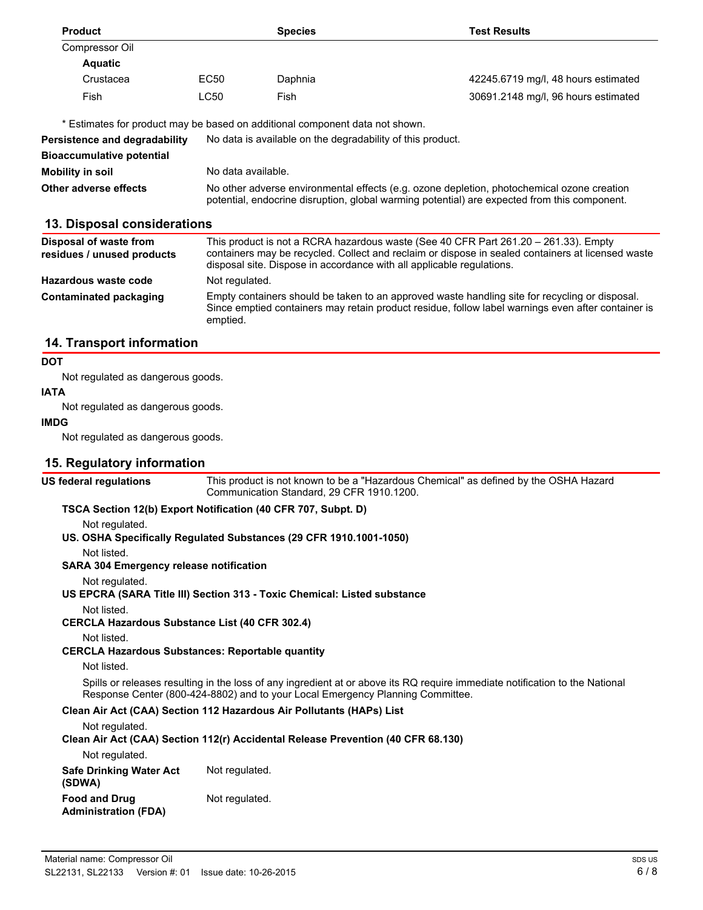| <b>Product</b>                                                               |                                                                                                                                                                                            | <b>Species</b> | Test Results                        |
|------------------------------------------------------------------------------|--------------------------------------------------------------------------------------------------------------------------------------------------------------------------------------------|----------------|-------------------------------------|
| Compressor Oil                                                               |                                                                                                                                                                                            |                |                                     |
| <b>Aquatic</b>                                                               |                                                                                                                                                                                            |                |                                     |
| Crustacea                                                                    | EC50                                                                                                                                                                                       | Daphnia        | 42245.6719 mg/l, 48 hours estimated |
| Fish                                                                         | LC50                                                                                                                                                                                       | Fish           | 30691.2148 mg/l, 96 hours estimated |
| * Estimates for product may be based on additional component data not shown. |                                                                                                                                                                                            |                |                                     |
| Persistence and degradability                                                | No data is available on the degradability of this product.                                                                                                                                 |                |                                     |
| <b>Bioaccumulative potential</b>                                             |                                                                                                                                                                                            |                |                                     |
| Mobility in soil                                                             | No data available.                                                                                                                                                                         |                |                                     |
| Other adverse effects                                                        | No other adverse environmental effects (e.g. ozone depletion, photochemical ozone creation<br>potential, endocrine disruption, global warming potential) are expected from this component. |                |                                     |
| 13. Disposal considerations                                                  |                                                                                                                                                                                            |                |                                     |

| Disposal of waste from<br>residues / unused products | This product is not a RCRA hazardous waste (See 40 CFR Part 261.20 – 261.33). Empty<br>containers may be recycled. Collect and reclaim or dispose in sealed containers at licensed waste<br>disposal site. Dispose in accordance with all applicable regulations. |
|------------------------------------------------------|-------------------------------------------------------------------------------------------------------------------------------------------------------------------------------------------------------------------------------------------------------------------|
| Hazardous waste code                                 | Not regulated.                                                                                                                                                                                                                                                    |
| <b>Contaminated packaging</b>                        | Empty containers should be taken to an approved waste handling site for recycling or disposal.<br>Since emptied containers may retain product residue, follow label warnings even after container is<br>emptied.                                                  |

## **14. Transport information**

#### **DOT**

Not regulated as dangerous goods.

### **IATA**

Not regulated as dangerous goods.

#### **IMDG**

Not regulated as dangerous goods.

### **15. Regulatory information**

**US federal regulations**

This product is not known to be a "Hazardous Chemical" as defined by the OSHA Hazard Communication Standard, 29 CFR 1910.1200.

#### **TSCA Section 12(b) Export Notification (40 CFR 707, Subpt. D)**

Not regulated.

**US. OSHA Specifically Regulated Substances (29 CFR 1910.1001-1050)**

Not listed.

**SARA 304 Emergency release notification**

Not regulated.

**US EPCRA (SARA Title III) Section 313 - Toxic Chemical: Listed substance**

Not listed.

**CERCLA Hazardous Substance List (40 CFR 302.4)**

Not listed.

**CERCLA Hazardous Substances: Reportable quantity**

Not listed.

Spills or releases resulting in the loss of any ingredient at or above its RQ require immediate notification to the National Response Center (800-424-8802) and to your Local Emergency Planning Committee.

#### **Clean Air Act (CAA) Section 112 Hazardous Air Pollutants (HAPs) List**

Not regulated.

#### **Clean Air Act (CAA) Section 112(r) Accidental Release Prevention (40 CFR 68.130)**

Not regulated.

| Safe Drinking Water Act<br>(SDWA)            | Not regulated. |
|----------------------------------------------|----------------|
| <b>Food and Drug</b><br>Administration (FDA) | Not regulated. |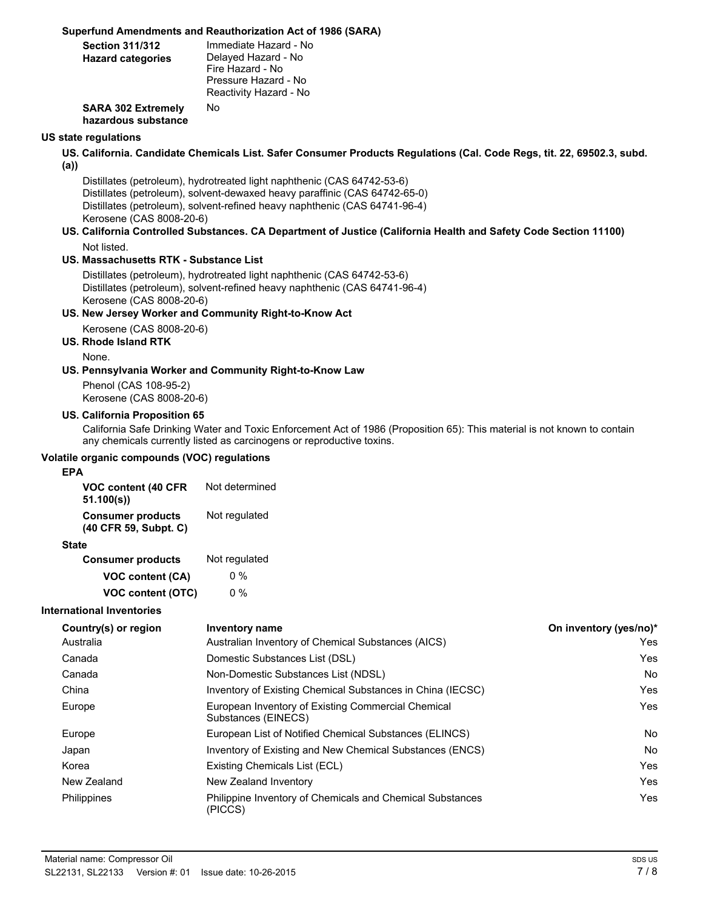### **Superfund Amendments and Reauthorization Act of 1986 (SARA)**

| <b>Section 311/312</b><br><b>Hazard categories</b> | Immediate Hazard - No<br>Delayed Hazard - No<br>Fire Hazard - No<br>Pressure Hazard - No<br>Reactivity Hazard - No |
|----------------------------------------------------|--------------------------------------------------------------------------------------------------------------------|
| <b>SARA 302 Extremely</b><br>hazardous substance   | No                                                                                                                 |

#### **US state regulations**

- **US. California. Candidate Chemicals List. Safer Consumer Products Regulations (Cal. Code Regs, tit. 22, 69502.3, subd.**
- **(a))**

Distillates (petroleum), hydrotreated light naphthenic (CAS 64742-53-6) Distillates (petroleum), solvent-dewaxed heavy paraffinic (CAS 64742-65-0) Distillates (petroleum), solvent-refined heavy naphthenic (CAS 64741-96-4) Kerosene (CAS 8008-20-6)

**US. California Controlled Substances. CA Department of Justice (California Health and Safety Code Section 11100)** Not listed.

### **US. Massachusetts RTK - Substance List**

Distillates (petroleum), hydrotreated light naphthenic (CAS 64742-53-6) Distillates (petroleum), solvent-refined heavy naphthenic (CAS 64741-96-4) Kerosene (CAS 8008-20-6)

#### **US. New Jersey Worker and Community Right-to-Know Act**

Kerosene (CAS 8008-20-6)

# **US. Rhode Island RTK**

None.

#### **US. Pennsylvania Worker and Community Right-to-Know Law**

Phenol (CAS 108-95-2) Kerosene (CAS 8008-20-6)

#### **US. California Proposition 65**

California Safe Drinking Water and Toxic Enforcement Act of 1986 (Proposition 65): This material is not known to contain any chemicals currently listed as carcinogens or reproductive toxins.

#### **Volatile organic compounds (VOC) regulations**

#### **EPA**

| VOC content (40 CFR<br>51.100(s)                                   | Not determined |
|--------------------------------------------------------------------|----------------|
| <b>Consumer products</b><br>Not regulated<br>(40 CFR 59, Subpt. C) |                |
| <b>State</b>                                                       |                |
| <b>Consumer products</b>                                           | Not regulated  |
| VOC content (CA)                                                   | 0 %            |
| <b>VOC content (OTC)</b>                                           | 0 %            |

#### **International Inventories**

| Country(s) or region | Inventory name                                                            | On inventory (yes/no)* |
|----------------------|---------------------------------------------------------------------------|------------------------|
| Australia            | Australian Inventory of Chemical Substances (AICS)                        | Yes                    |
| Canada               | Domestic Substances List (DSL)                                            | Yes                    |
| Canada               | Non-Domestic Substances List (NDSL)                                       | <b>No</b>              |
| China                | Inventory of Existing Chemical Substances in China (IECSC)                | Yes                    |
| Europe               | European Inventory of Existing Commercial Chemical<br>Substances (EINECS) | Yes                    |
| Europe               | European List of Notified Chemical Substances (ELINCS)                    | No                     |
| Japan                | Inventory of Existing and New Chemical Substances (ENCS)                  | No                     |
| Korea                | Existing Chemicals List (ECL)                                             | Yes                    |
| New Zealand          | New Zealand Inventory                                                     | Yes                    |
| Philippines          | Philippine Inventory of Chemicals and Chemical Substances<br>(PICCS)      | Yes                    |